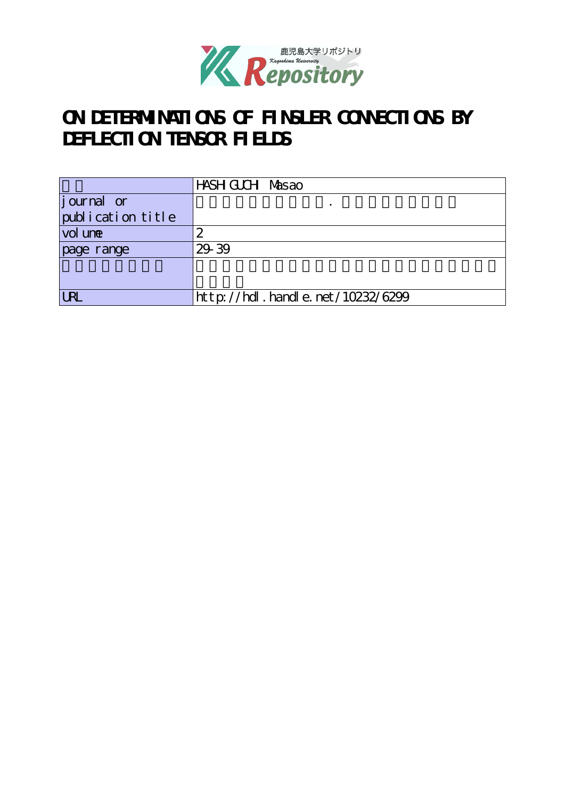

# **ON DETERMINATIONS OF FINSLER CONNECTIONS BY DEFLECTION TENSOR FIELDS**

|                   | HASH GUCH Masao                  |
|-------------------|----------------------------------|
| journal or        |                                  |
| publication title |                                  |
| vol une           | 2                                |
| page range        | 29 39                            |
|                   |                                  |
|                   |                                  |
| IR                | http://hdl.handle.net/10232/6299 |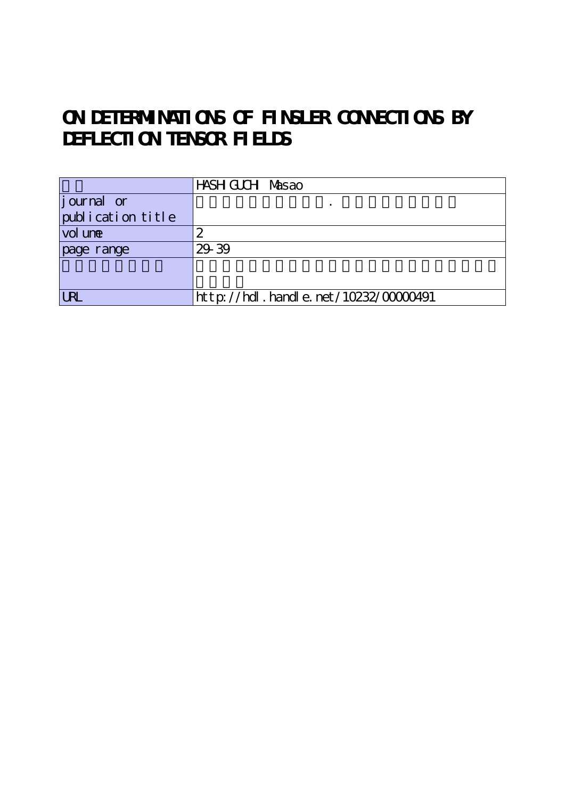# **ON DETERMINATIONS OF FINSLER CONNECTIONS BY DEFLECTION TENSOR FIELDS**

|                   | HASH GUCH Masao                              |
|-------------------|----------------------------------------------|
| journal or        |                                              |
| publication title |                                              |
| vol une           | 2                                            |
| page range        | 29 39                                        |
|                   |                                              |
|                   |                                              |
| <b>LR</b>         | $http: // hdl. handle. net / 10232/00000491$ |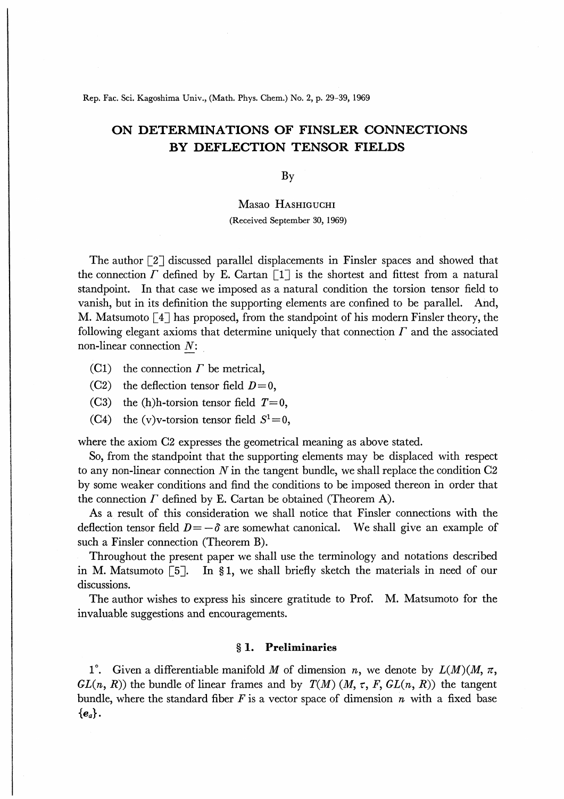Rep. Fac. Sci. Kagoshima Univ., (Math. Phys. Chem.) No. 2, p. 29-39, 1969

# ON DETERMINATIONS OF FINSLER CONNECTIONS BY DEFLECTION TENSOR FIELDS

By

## Masao Hashiguchi

(Received September 30, 1969)

The author  $\lceil 2 \rceil$  discussed parallel displacements in Finsler spaces and showed that the connection  $\Gamma$  defined by E. Cartan  $\lceil 1 \rceil$  is the shortest and fittest from a natural standpoint. In that case we imposed as a natural condition the torsion tensor field to vanish, but in its definition the supporting elements are confined to be parallel. And, M. Matsumoto  $\lceil 4 \rceil$  has proposed, from the standpoint of his modern Finsler theory, the following elegant axioms that determine uniquely that connection  $\Gamma$  and the associated non-linear connection N:

- (C1) the connection  $\Gamma$  be metrical,
- (C2) the deflection tensor field  $D=0$ ,
- (C3) the (h)h-torsion tensor field  $T=0$ ,
- (C4) the (v)v-torsion tensor field  $S^1=0$ ,

where the axiom G2 expresses the geometrical meaning as above stated.

So, from the standpoint that the supporting elements may be displaced with respect to any non-linear connection  $N$  in the tangent bundle, we shall replace the condition  $C2$ by some weaker conditions and find the conditions to be imposed thereon in order that the connection  $\Gamma$  defined by E. Cartan be obtained (Theorem A).

As a result of this consideration we shall notice that Finsler connections with the deflection tensor field  $D = -\delta$  are somewhat canonical. We shall give an example of such a Finsler connection (Theorem B).

Throughout the present paper we shall use the terminology and notations described in M. Matsumoto  $\lceil 5 \rceil$ . In §1, we shall briefly sketch the materials in need of our discussions.

The author wishes to express his sincere gratitude to Prof. M. Matsumoto for the invaluable suggestions and encouragements.

### § 1. Preliminaries

1°. Given a differentiable manifold M of dimension n, we denote by  $L(M)(M, \pi,$  $GL(n, R)$ ) the bundle of linear frames and by  $T(M)$  (M,  $\tau$ , F,  $GL(n, R)$ ) the tangent bundle, where the standard fiber  $F$  is a vector space of dimension  $n$  with a fixed base  ${e_a}$ .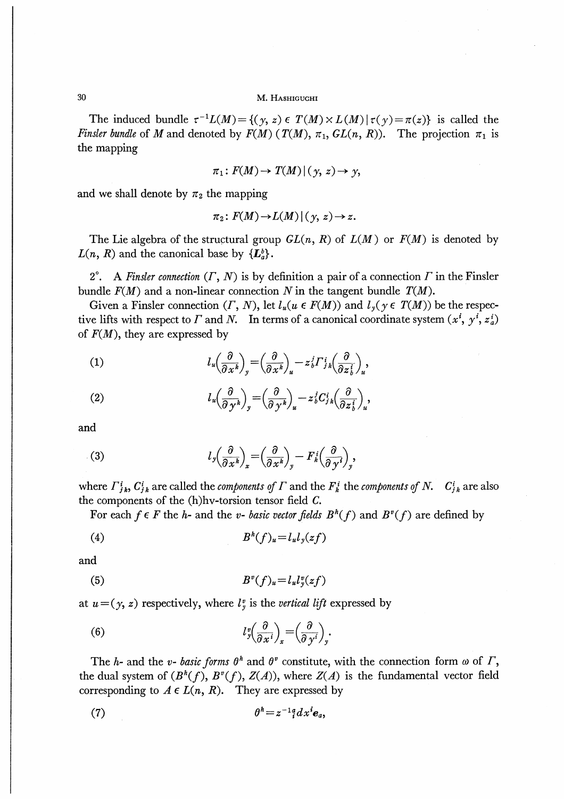#### М. НАЗНІСОСНІ

The induced bundle  $\tau^{-1}L(M) = \{(y, z) \in T(M) \times L(M) | \tau(y) = \pi(z)\}\$  is called the Finsler bundle of M and denoted by  $F(M)$  ( $T(M)$ ,  $\pi_1$ ,  $GL(n, R)$ ). The projection  $\pi_1$  is the mapping

$$
\pi_1\colon F(M)\to T(M)\,|\,(\,y,\,z)\to y,
$$

and we shall denote by  $\pi_2$  the mapping

$$
\pi_2\colon F(M)\to L(M)\,|\,(\,y,\,z)\to z.
$$

The Lie algebra of the structural group  $GL(n, R)$  of  $L(M)$  or  $F(M)$  is denoted by  $L(n, R)$  and the canonical base by  $\{L_a^b\}$ .

2°. A Finster connection  $(\Gamma, N)$  is by definition a pair of a connection  $\Gamma$  in the Finster bundle  $F(M)$  and a non-linear connection N in the tangent bundle  $T(M)$ .

Given a Finsler connection  $(\Gamma, N)$ , let  $l_u(u \in F(M))$  and  $l_y(y \in T(M))$  be the respective lifts with respect to  $\Gamma$  and  $N$ . In terms of a canonical coordinate system  $(x^i, y^i, z^i)$ of  $F(M)$ , they are expressed by

(1) 
$$
l_u \left(\frac{\partial}{\partial x^k}\right)_y = \left(\frac{\partial}{\partial x^k}\right)_u - z_b^i \Gamma_{jk}^i \left(\frac{\partial}{\partial z_b^i}\right)_u,
$$

(2) 
$$
l_u \left(\frac{\partial}{\partial y^k}\right)_y = \left(\frac{\partial}{\partial y^k}\right)_u - z_b^j C_{jk}^i \left(\frac{\partial}{\partial z_b^i}\right)_u,
$$

and

(3) 
$$
l_y \left(\frac{\partial}{\partial x^k}\right)_x = \left(\frac{\partial}{\partial x^k}\right)_y - F_k^i \left(\frac{\partial}{\partial y^i}\right)_y,
$$

where  $\Gamma_{j,k}^i$ ,  $C_{j,k}^i$  are called the *components of*  $\Gamma$  and the  $F_k^i$  the *components of*  $N$ .  $C_{j,k}^i$  are also the components of the  $(h)$ hv-torsion tensor field  $C$ .

For each  $f \in F$  the *h*- and the *v*- *basic vector fields*  $B^h(f)$  and  $B^v(f)$  are defined by

$$
(4) \t\t Bh(f)u=luly(zf)
$$

and

$$
(5) \t\t\t Bv(f)u=lulyv(zf)
$$

at  $u = (y, z)$  respectively, where  $l_y^v$  is the vertical lift expressed by

(6) 
$$
l_y^v \left(\frac{\partial}{\partial x^i}\right)_x = \left(\frac{\partial}{\partial y^i}\right)_y.
$$

The h- and the v- basic forms  $\theta^h$  and  $\theta^v$  constitute, with the connection form  $\omega$  of  $\Gamma$ , the dual system of  $(B^h(f), B^v(f), Z(A))$ , where  $Z(A)$  is the fundamental vector field corresponding to  $A \in L(n, R)$ . They are expressed by

$$
(7) \hspace{3.1em} \theta^h = z^{-1} \, d^d x^i \mathbf{e}_a,
$$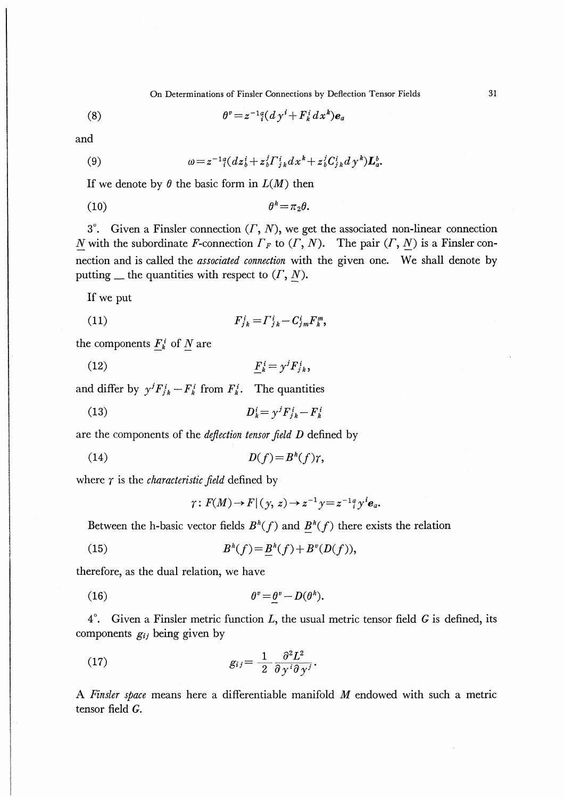On Determinations of Finsler Connections by Deflection Tensor Fields

 $\theta^v = z^{-1} \frac{d}{dx} (d y^i + F^i_k dx^k) \mathbf{e}_a$  $(8)$ 

and

(9) 
$$
\omega = z^{-1}{}_{i}^{a} (dz_{b}^{i} + z_{b}^{j} \Gamma^{i}_{j k} dx^{k} + z_{b}^{j} C^{i}_{j k} d y^{k}) \mathbf{L}_{a}^{b}.
$$

If we denote by  $\theta$  the basic form in  $L(M)$  then

 $\theta^h = \pi_2 \theta$ .  $(10)$ 

3°. Given a Finsler connection  $(\Gamma, N)$ , we get the associated non-linear connection N with the subordinate F-connection  $\Gamma_F$  to  $(\Gamma, N)$ . The pair  $(\Gamma, N)$  is a Finsler connection and is called the *associated connection* with the given one. We shall denote by putting  $\equiv$  the quantities with respect to  $(\Gamma, N)$ .

If we put

$$
(11) \t\t\t F_{jk}^i = \Gamma_{jk}^i - C_{jm}^i F_k^m,
$$

the components  $F_k^i$  of N are

and differ by  $y^j F_{jk}^i - F_k^i$  from  $F_k^i$ . The quantities

 $D_k^i = \gamma^j F_{ik}^i - F_k^i$  $(13)$ 

are the components of the deflection tensor field D defined by

$$
(14) \t\t\t D(f)=B^h(f)\gamma,
$$

where  $\gamma$  is the *characteristic field* defined by

$$
\gamma: F(M) \to F | (y, z) \to z^{-1} y = z^{-1} \frac{a}{i} y^i \mathbf{e}_a.
$$

Between the h-basic vector fields  $B^h(f)$  and  $B^h(f)$  there exists the relation

(15) 
$$
B^{h}(f) = B^{h}(f) + B^{v}(D(f)),
$$

therefore, as the dual relation, we have

$$
\theta^v = \theta^v - D(\theta^h).
$$

 $4^{\circ}$ . Given a Finsler metric function L, the usual metric tensor field G is defined, its components  $g_{ij}$  being given by

(17) 
$$
g_{ij} = \frac{1}{2} \frac{\partial^2 L^2}{\partial \gamma^i \partial \gamma^j}.
$$

A Finsler space means here a differentiable manifold M endowed with such a metric tensor field  $G$ .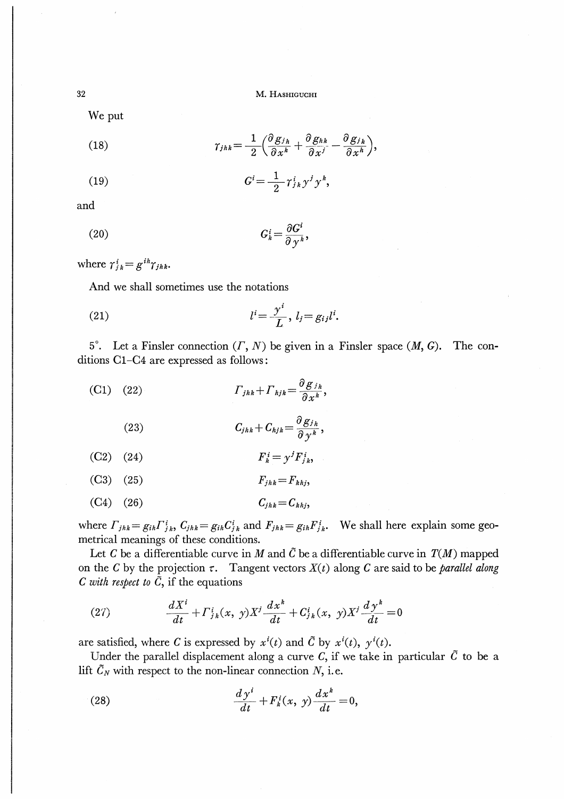M. HASHIGUCHI

We put

(18) 
$$
\gamma_{jhk} = \frac{1}{2} \left( \frac{\partial g_{j}}{\partial x^k} + \frac{\partial g_{hk}}{\partial x^j} - \frac{\partial g_{jk}}{\partial x^h} \right),
$$

$$
(19) \tGi=\frac{1}{2}\gamma_{jk}^{i}\gamma^{j}\gamma^{k},
$$

and

$$
(20) \tGki = \frac{\partial Gi}{\partial yk},
$$

where  $\gamma_{ik}^i = g^{ih} \gamma_{jhk}$ .

And we shall sometimes use the notations

$$
(21) \t\t\t li = \frac{yi}{L}, lj = gijli.
$$

5<sup>°</sup>. Let a Finsler connection  $(\Gamma, N)$  be given in a Finsler space  $(M, G)$ . The conditions C1-C4 are expressed as follows :

(C1) (22) 
$$
\Gamma_{jhk} + \Gamma_{hjk} = \frac{\partial g_{jh}}{\partial x^k},
$$

(23) 
$$
C_{jhk} + C_{hjk} = \frac{\partial g_{j}}{\partial y^k},
$$

$$
(C2) (24) \t\t\t Fki = yjFji,
$$

$$
(C3) (25) \t\t F_{jhk} = F_{khj},
$$

$$
(C4) (26) \t Cjhk=Ckhj,
$$

where  $\Gamma_{jhk} = g_{ih}\Gamma_{jk}^{i}$ ,  $C_{jhk} = g_{ih}C_{jk}^{i}$  and  $F_{jhk} = g_{ih}F_{jk}^{i}$ . We shall here explain some geometrical meanings of these conditions.

Let C be a differentiable curve in M and  $\tilde{C}$  be a differentiable curve in  $T(M)$  mapped on the C by the projection  $\tau$ . Tangent vectors  $X(t)$  along C are said to be parallel along C with respect to  $\tilde{C}$ , if the equations

(27) 
$$
\frac{dX^i}{dt} + \Gamma^i_{jk}(x, y)X^j \frac{dx^k}{dt} + C^i_{jk}(x, y)X^j \frac{dy^k}{dt} = 0
$$

are satisfied, where C is expressed by  $x^{i}(t)$  and  $\tilde{C}$  by  $x^{i}(t)$ ,  $y^{i}(t)$ .

Under the parallel displacement along a curve C, if we take in particular  $\tilde{C}$  to be a lift  $\tilde{C}_N$  with respect to the non-linear connection N, i.e.

(28) 
$$
\frac{dy^i}{dt} + F^i_k(x, y) \frac{dx^k}{dt} = 0,
$$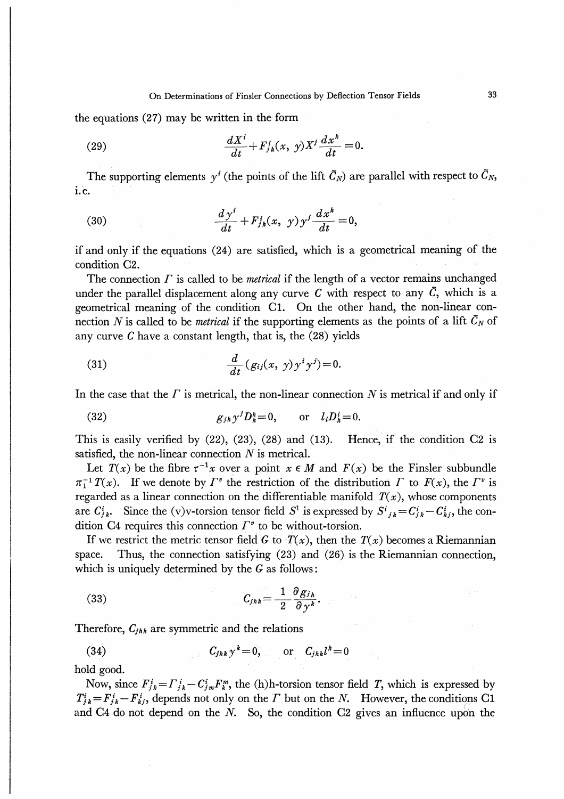the equations (27) may be written in the form

(29) 
$$
\frac{dX^i}{dt} + F^i_{jk}(x, y)X^j\frac{dx^k}{dt} = 0.
$$

The supporting elements  $y^i$  (the points of the lift  $\tilde{C}_N$ ) are parallel with respect to  $\tilde{C}_N$ , i.e.

(30) 
$$
\frac{dy^i}{dt} + F^i_{jk}(x, y)y^j \frac{dx^k}{dt} = 0,
$$

if and only if the equations (24) are satisfied, which is a geometrical meaning of the condition C2.

The connection  $\Gamma$  is called to be *metrical* if the length of a vector remains unchanged under the parallel displacement along any curve  $C$  with respect to any  $\tilde{C}$ , which is a geometrical meaning of the condition C1. On the other hand, the non-linear connection N is called to be *metrical* if the supporting elements as the points of a lift  $\tilde{C}_N$  of any curve  $C$  have a constant length, that is, the  $(28)$  yields

(31) 
$$
\frac{d}{dt}(g_{ij}(x, y)y^i y^j)=0.
$$

In the case that the  $\Gamma$  is metrical, the non-linear connection  $N$  is metrical if and only if

$$
(32) \t\t\t g_{jh}y^{j}D_{k}^{h}=0, \t\t or \t l_{i}D_{k}^{i}=0.
$$

This is easily verified by  $(22)$ ,  $(23)$ ,  $(28)$  and  $(13)$ . Hence, if the condition C2 is satisfied, the non-linear connection  $N$  is metrical.

Let  $T(x)$  be the fibre  $\tau^{-1}x$  over a point  $x \in M$  and  $F(x)$  be the Finsler subbundle  $\pi_1^{-1}T(x)$ . If we denote by  $\Gamma^v$  the restriction of the distribution  $\Gamma$  to  $F(x)$ , the  $\Gamma^v$  is regarded as a linear connection on the differentiable manifold  $T(x)$ , whose components are  $C_{jk}^i$ . Since the (v)v-torsion tensor field  $S^1$  is expressed by  $S^i{}_{jk} = C_{jk}^i - C_{kj}^i$ , the condition C4 requires this connection  $\Gamma^v$  to be without-torsion.

If we restrict the metric tensor field G to  $T(x)$ , then the  $T(x)$  becomes a Riemannian space. Thus, the connection satisfying (23) and (26) is the Riemannian connection, which is uniquely determined by the  $G$  as follows:

$$
(33) \tC_{jhk} = \frac{1}{2} \frac{\partial g_{j}}{\partial \gamma^k}.
$$

Therefore,  $C_{ihk}$  are symmetric and the relations

$$
(34) \tC_{jhk} y^k = 0, \t or \t C_{jhk} l^k = 0
$$

hold good.

Now, since  $F_{jk}^i = \Gamma_{jk}^i - C_{jm}^i F_k^m$ , the (h)h-torsion tensor field T, which is expressed by  $T_{j,k}^i = F_{j,k}^i - F_{kj}^i$ , depends not only on the T but on the N. However, the conditions C1 and C4 do not depend on the  $N$ . So, the condition C2 gives an influence upon the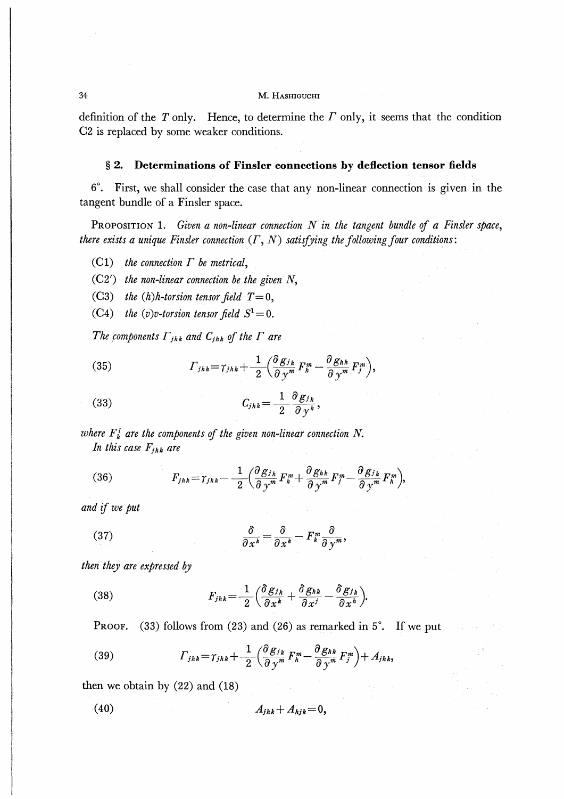#### M. НАSHIGUCHI

definition of the  $T$  only. Hence, to determine the  $T$  only, it seems that the condition C2 is replaced by some weaker conditions.

#### $§$  2. Determinations of Finsler connections by deflection tensor fields

6°. First, we shall consider the case that any non-linear connection is given in the tangent bundle of a Finsler space.

PROPOSITION 1. Given a non-linear connection  $N$  in the tangent bundle of a Finsler space, there exists a unique Finsler connection  $(\Gamma, N)$  satisfying the following four conditions:

the connection  $\Gamma$  be metrical,  $(C1)$ 

 $(C2')$  the non-linear connection be the given N,

- $(C3)$ the (h)h-torsion tensor field  $T=0$ ,
- the (v)v-torsion tensor field  $S^1=0$ .  $(C4)$

The components  $\Gamma_{jhk}$  and  $C_{jhk}$  of the  $\Gamma$  are

(35) 
$$
\Gamma_{jhk} = \gamma_{jhk} + \frac{1}{2} \left( \frac{\partial g_{j_k}}{\partial y^m} F_h^m - \frac{\partial g_{hk}}{\partial y^m} F_j^m \right),
$$

$$
C_{jhk} = \frac{1}{2} \frac{\partial g_{j_h}}{\partial y^k},
$$

where  $F_k^i$  are the components of the given non-linear connection N. In this case  $F_{jhk}$  are

(36) 
$$
F_{jhk} = \gamma_{jhk} - \frac{1}{2} \left( \frac{\partial g_{jh}}{\partial y^m} F_k^m + \frac{\partial g_{hk}}{\partial y^m} F_j^m - \frac{\partial g_{jk}}{\partial y^m} F_k^m \right),
$$

and if we put

(37) 
$$
\frac{\partial}{\partial x^k} = \frac{\partial}{\partial x^k} - F_k^m \frac{\partial}{\partial y^m},
$$

then they are expressed by

(38) 
$$
F_{jhk} = \frac{1}{2} \left( \frac{\delta g_{jh}}{\partial x^k} + \frac{\delta g_{hk}}{\partial x^j} - \frac{\delta g_{jk}}{\partial x^h} \right).
$$

 $(33)$  follows from  $(23)$  and  $(26)$  as remarked in  $5^\circ$ . If we put PROOF.

(39) 
$$
\Gamma_{jhk} = \gamma_{jhk} + \frac{1}{2} \left( \frac{\partial g_{jk}}{\partial y^m} F_h^m - \frac{\partial g_{hk}}{\partial y^m} F_j^m \right) + A_{jhk},
$$

then we obtain by  $(22)$  and  $(18)$ 

$$
(40) \t A_{jhk} + A_{hjk} = 0,
$$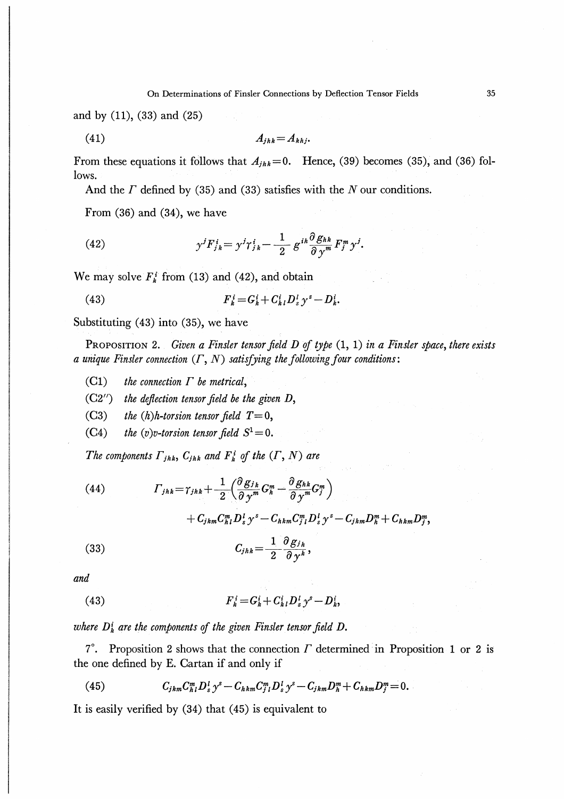and by  $(11)$ ,  $(33)$  and  $(25)$ 

$$
(41) \t\t A_{jhk}=A_{khj}.
$$

From these equations it follows that  $A_{ihk} = 0$ . Hence, (39) becomes (35), and (36) follows.

And the  $\Gamma$  defined by (35) and (33) satisfies with the  $N$  our conditions.

From  $(36)$  and  $(34)$ , we have

(42) 
$$
y^{j}F_{jk}^{i}=y^{j}\gamma_{jk}^{i}-\frac{1}{2}g^{ik}\frac{\partial g_{hk}}{\partial y^{m}}F_{j}^{m}y^{j}.
$$

We may solve  $F_k^i$  from (13) and (42), and obtain

 $F_{k}^{i} = G_{k}^{i} + C_{k}^{i} D_{s}^{l} \gamma^{s} - D_{k}^{i}.$  $(43)$ 

Substituting (43) into (35), we have

PROPOSITION 2. Given a Finsler tensor field  $D$  of type  $(1, 1)$  in a Finsler space, there exists a unique Finsler connection  $(\Gamma, N)$  satisfying the following four conditions:

- $(C1)$ the connection  $\Gamma$  be metrical,
- $(C2'')$ the deflection tensor field be the given D,
- the  $(h)$ h-torsion tensor field  $T=0$ ,  $(C3)$
- the (v)v-torsion tensor field  $S^1=0$ .  $(C4)$

The components  $\Gamma_{jhk}$ ,  $C_{jhk}$  and  $F_k^i$  of the  $(\Gamma, N)$  are

(44) 
$$
\Gamma_{jhk} = \gamma_{jhk} + \frac{1}{2} \left( \frac{\partial g_{jk}}{\partial y^m} G_h^m - \frac{\partial g_{hk}}{\partial y^m} G_j^m \right) + C_{jkm} C_{hl}^m D_s^l y^s - C_{hkm} C_{jl}^m D_s^l y^s - C_{jkm} D_h^m + C_{hkm} D_j^m,
$$
  
(33) 
$$
C_{jhk} = \frac{1}{2} \frac{\partial g_{jh}}{\partial y^k},
$$

and

(43) 
$$
F_{k}^{i} = G_{k}^{i} + C_{k}^{i} D_{s}^{l} y^{s} - D_{k}^{i},
$$

where  $D_k^i$  are the components of the given Finsler tensor field  $D$ .

7°. Proposition 2 shows that the connection  $\Gamma$  determined in Proposition 1 or 2 is the one defined by E. Cartan if and only if

(45) 
$$
C_{jkm}C_{h1}^m D_s^l y^s - C_{hkm}C_{j1}^m D_s^l y^s - C_{jkm}D_h^m + C_{hkm}D_j^m = 0.
$$

It is easily verified by  $(34)$  that  $(45)$  is equivalent to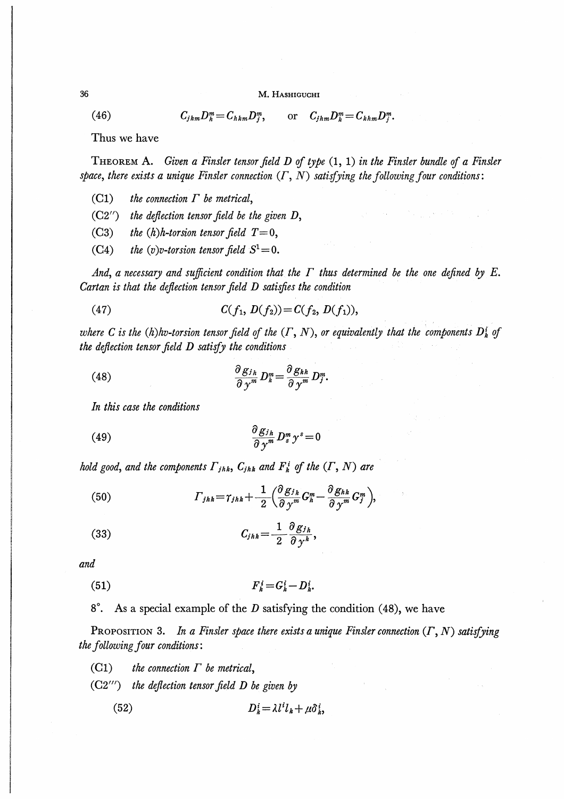M. HASHIGUCHI

 $(46)$ 

36

$$
C_{jkm}D_k^m = C_{hkm}D_j^m, \qquad \text{or} \quad C_{jhm}D_k^m = C_{hhm}D_j^m.
$$

Thus we have

THEOREM A. Given a Finsler tensor field  $D$  of type  $(1, 1)$  in the Finsler bundle of a Finsler space, there exists a unique Finsler connection  $(\Gamma, N)$  satisfying the following four conditions:

- the connection  $\Gamma$  be metrical,  $(C1)$
- $(C2^{\prime\prime})$ the deflection tensor field be the given  $D$ ,
- the  $(h)$ h-torsion tensor field  $T=0$ ,  $(C3)$
- the (v)v-torsion tensor field  $S^1=0$ .  $(C4)$

And, a necessary and sufficient condition that the  $\Gamma$  thus determined be the one defined by E. Cartan is that the deflection tensor field D satisfies the condition

 $C(f_1, D(f_2)) = C(f_2, D(f_1)),$  $(47)$ 

where C is the (h)hv-torsion tensor field of the  $(\Gamma, N)$ , or equivalently that the components  $D_k^i$  of the deflection tensor field D satisfy the conditions

(48) 
$$
\frac{\partial g_{j_h}}{\partial y^m} D_k^m = \frac{\partial g_{k_h}}{\partial y^m} D_j^m.
$$

In this case the conditions

$$
\frac{\partial g_{j_h}}{\partial y^m} D_s^m y^s = 0
$$

hold good, and the components  $\Gamma_{jhk}$ ,  $C_{jhk}$  and  $F_k^i$  of the  $(\Gamma, N)$  are

(50) 
$$
\Gamma_{jhk} = \gamma_{jhk} + \frac{1}{2} \left( \frac{\partial g_{j,k}}{\partial y^m} G_h^m - \frac{\partial g_{hk}}{\partial y^m} G_j^m \right),
$$

$$
(33) \tC_{jhk} = \frac{1}{2} \frac{\partial g_{j_h}}{\partial \gamma^k},
$$

and

$$
(51) \t\t\t F_k^i = G_k^i - D_k^i.
$$

8<sup>°</sup>. As a special example of the 
$$
D
$$
 satisfying the condition (48), we have

PROPOSITION 3. In a Finsler space there exists a unique Finsler connection  $(\Gamma, N)$  satisfying the following four conditions:

 $(C1)$ the connection  $\Gamma$  be metrical,

 $(C2''')$  the deflection tensor field D be given by

$$
(52) \t\t\t D_k^i = \lambda l^i l_k + \mu \delta_k^i,
$$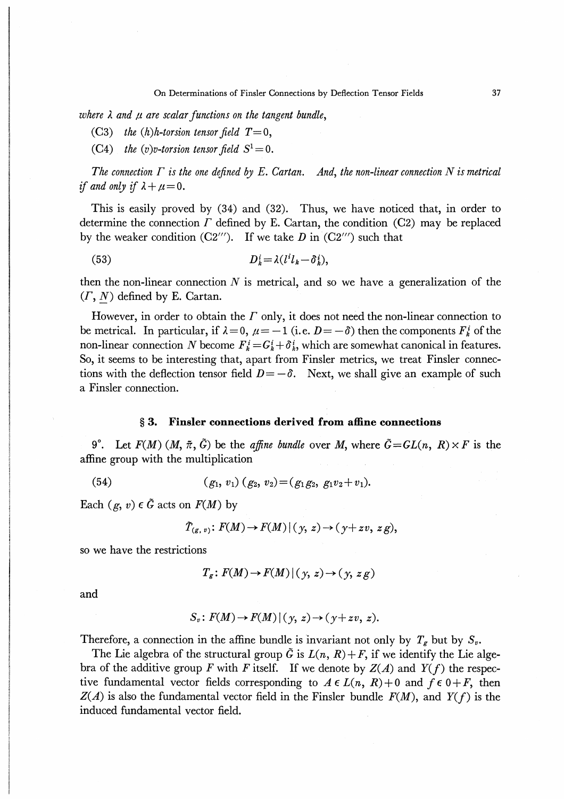where  $\lambda$  and  $\mu$  are scalar functions on the tangent bundle,

(C3) the  $(h)$ h-torsion tensor field  $T=0$ ,

(C4) the (v)v-torsion tensor field  $S^1 = 0$ .

The connection  $\Gamma$  is the one defined by E. Cartan. And, the non-linear connection N is metrical if and only if  $\lambda + \mu = 0$ .

This is easily proved by (34) and (32). Thus, we have noticed that, in order to determine the connection  $\Gamma$  defined by E. Cartan, the condition (C2) may be replaced by the weaker condition  $(C2^{\prime\prime\prime})$ . If we take D in  $(C2^{\prime\prime\prime})$  such that

(53)  $D_k^i = \lambda (l^i l_k - \delta_k^i),$ 

then the non-linear connection  $N$  is metrical, and so we have a generalization of the  $(\Gamma, N)$  defined by E. Cartan.

However, in order to obtain the  $\Gamma$  only, it does not need the non-linear connection to be metrical. In particular, if  $\lambda = 0$ ,  $\mu = -1$  (i.e.  $D = -\delta$ ) then the components  $F_k^i$  of the non-linear connection N become  $F_{k}^{i} = G_{k}^{i} + \delta_{k}^{i}$ , which are somewhat canonical in features. So, it seems to be interesting that, apart from Finsler metrics, we treat Finsler connections with the deflection tensor field  $D = -\delta$ . Next, we shall give an example of such a Finsler connection.

## § 3. Finsler connections derived from affine connections

9<sup>o</sup>. Let  $F(M)$   $(M, \tilde{\pi}, \tilde{G})$  be the *affine bundle* over M, where  $\tilde{G} = GL(n, R) \times F$  is the affine group with the multiplication

(54) (gl, Vi) (g2, V2)-(glg2, glV2+vt).

Each  $(g, v) \in \tilde{G}$  acts on  $F(M)$  by

$$
\tilde{T}_{(g, v)}\colon F(M) \to F(M) \mid (y, z) \to (y + zv, zg),
$$

so we have the restrictions

$$
T_g \colon F(M) \to F(M) \mid (y, z) \to (y, zg)
$$

and

$$
S_v: F(M) \to F(M) \mid (y, z) \to (y + zv, z).
$$

Therefore, a connection in the affine bundle is invariant not only by  $T<sub>g</sub>$  but by  $S<sub>v</sub>$ .

The Lie algebra of the structural group  $\tilde{G}$  is  $L(n, R) + F$ , if we identify the Lie algebra of the additive group F with F itself. If we denote by  $Z(A)$  and  $Y(f)$  the respective fundamental vector fields corresponding to  $A \in L(n, R)+0$  and  $f \in 0+F$ , then  $Z(A)$  is also the fundamental vector field in the Finsler bundle  $F(M)$ , and  $Y(f)$  is the induced fundamental vector field.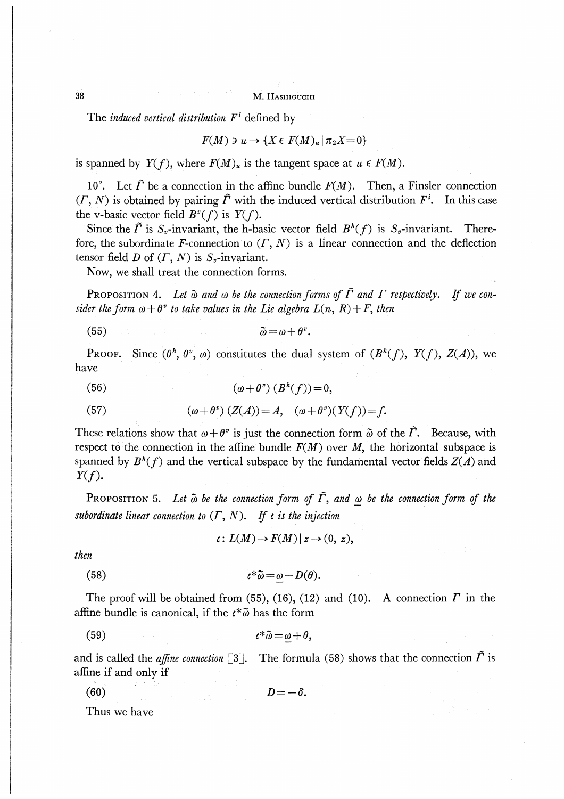38 M. Hashiguchi

The induced vertical distribution  $F^i$  defined by

$$
F(M) \ni u \to \{ X \in F(M)_u \mid \pi_2 X = 0 \}
$$

is spanned by  $Y(f)$ , where  $F(M)_u$  is the tangent space at  $u \in F(M)$ .

10°. Let  $\tilde{\Gamma}$  be a connection in the affine bundle  $F(M)$ . Then, a Finsler connection  $(T, N)$  is obtained by pairing  $\tilde{\Gamma}$  with the induced vertical distribution  $F^i$ . In this case the v-basic vector field  $B^v(f)$  is  $Y(f)$ .

Since the  $\tilde{\Gamma}$  is  $S_v$ -invariant, the h-basic vector field  $B^h(f)$  is  $S_v$ -invariant. Therefore, the subordinate F-connection to  $(\Gamma, N)$  is a linear connection and the deflection tensor field D of  $(\Gamma, N)$  is  $S_{\nu}$ -invariant.

Now, we shall treat the connection forms.

PROPOSITION 4. Let  $\tilde{\omega}$  and  $\omega$  be the connection forms of  $\tilde{\Gamma}$  and  $\Gamma$  respectively. If we consider the form  $\omega + \theta^v$  to take values in the Lie algebra  $L(n, R) + F$ , then

$$
(55) \t\t \tilde{\omega} = \omega + \theta^v.
$$

**PROOF.** Since  $(\theta^h, \theta^v, \omega)$  constitutes the dual system of  $(B^h(f), Y(f), Z(A))$ , we have

(56) 
$$
(\omega + \theta^{\nu}) (B^{h}(f)) = 0,
$$

(57) 
$$
(\omega + \theta^{\nu}) (Z(A)) = A, \quad (\omega + \theta^{\nu}) (Y(f)) = f.
$$

These relations show that  $\omega + \theta^v$  is just the connection form  $\tilde{\omega}$  of the  $\tilde{\Gamma}$ . Because, with respect to the connection in the affine bundle  $F(M)$  over M, the horizontal subspace is spanned by  $B^h(f)$  and the vertical subspace by the fundamental vector fields  $Z(A)$  and  $Y(f)$ .

PROPOSITION 5. Let  $\tilde{\omega}$  be the connection form of  $\tilde{\Gamma}$ , and  $\omega$  be the connection form of the subordinate linear connection to  $(\Gamma, N)$ . If  $\iota$  is the injection

 $\iota: L(M) \to F(M) \mid z \to (0, z),$ 

then

(58) ゐ-壁-D(d).

The proof will be obtained from (55), (16), (12) and (10). A connection  $\Gamma$  in the affine bundle is canonical, if the  $\ell^* \tilde{\omega}$  has the form

59) ゐ-fi>+0,

and is called the *affine connection*  $\lceil 3 \rceil$ . The formula (58) shows that the connection  $\tilde{\Gamma}$  is affine if and only if

$$
(60) \t\t\t D=-\delta.
$$

Thus we have